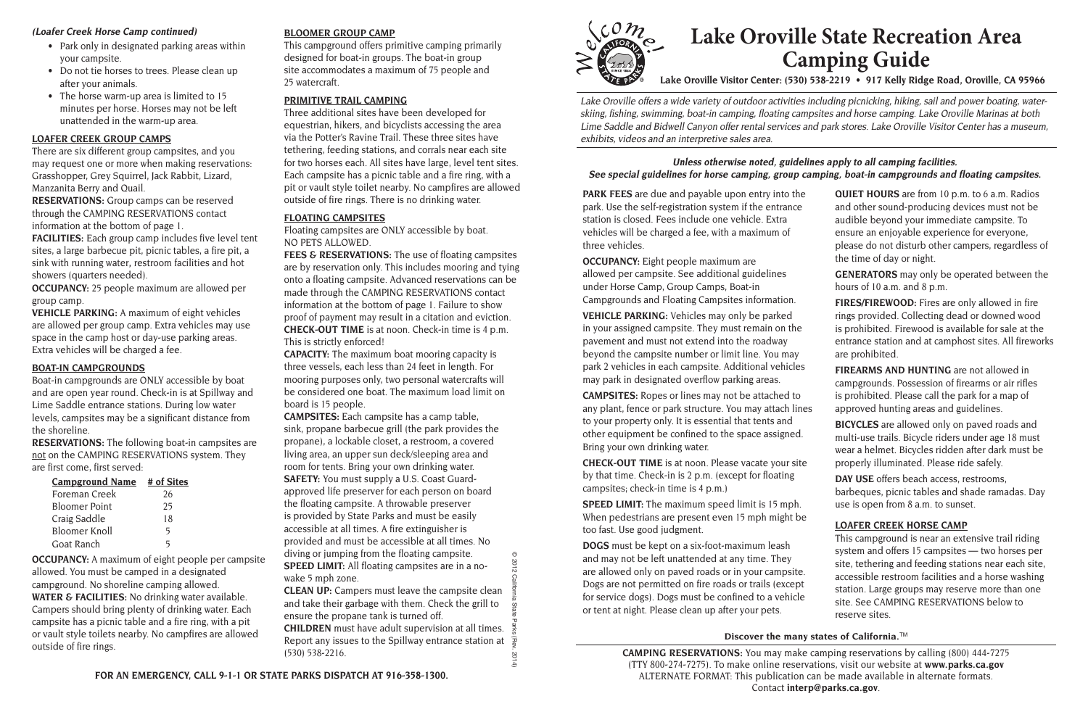**PARK FEES** are due and payable upon entry into the park. Use the self-registration system if the entrance station is closed. Fees include one vehicle. Extra vehicles will be charged a fee, with a maximum of three vehicles.

**OCCUPANCY:** Eight people maximum are allowed per campsite. See additional guidelines under Horse Camp, Group Camps, Boat-in Campgrounds and Floating Campsites information.

**CHECK-OUT TIME** is at noon. Please vacate your sit by that time. Check-in is 2 p.m. (except for floating campsites; check-in time is 4 p.m.)

**VEHICLE PARKING:** Vehicles may only be parked in your assigned campsite. They must remain on the pavement and must not extend into the roadway beyond the campsite number or limit line. You may park 2 vehicles in each campsite. Additional vehicles may park in designated overflow parking areas.

**CAMPSITES:** Ropes or lines may not be attached to any plant, fence or park structure. You may attach line to your property only. It is essential that tents and other equipment be confined to the space assigned. Bring your own drinking water.

**SPEED LIMIT:** The maximum speed limit is 15 mph. When pedestrians are present even 15 mph might be too fast. Use good judgment.

**DOGS** must be kept on a six-foot-maximum leash and may not be left unattended at any time. They are allowed only on paved roads or in your campsite. Dogs are not permitted on fire roads or trails (except for service dogs). Dogs must be confined to a vehicle or tent at night. Please clean up after your pets.

## **Discover the many states of California.**™

- Park only in designated parking areas within your campsite.
- Do not tie horses to trees. Please clean up after your animals.
- The horse warm-up area is limited to 15 minutes per horse. Horses may not be left unattended in the warm-up area.

| e<br>$\mathbf{r}$           | QUIET HOURS are from 10 p.m. to 6 a.m. Radios<br>and other sound-producing devices must not be<br>audible beyond your immediate campsite. To<br>ensure an enjoyable experience for everyone,<br>please do not disturb other campers, regardless of<br>the time of day or night.                                                                                      |
|-----------------------------|----------------------------------------------------------------------------------------------------------------------------------------------------------------------------------------------------------------------------------------------------------------------------------------------------------------------------------------------------------------------|
|                             | <b>GENERATORS</b> may only be operated between the<br>hours of 10 a.m. and 8 p.m.                                                                                                                                                                                                                                                                                    |
|                             | FIRES/FIREWOOD: Fires are only allowed in fire<br>rings provided. Collecting dead or downed wood<br>is prohibited. Firewood is available for sale at the<br>entrance station and at camphost sites. All fireworks<br>are prohibited.                                                                                                                                 |
| S                           | <b>FIREARMS AND HUNTING</b> are not allowed in                                                                                                                                                                                                                                                                                                                       |
| les                         | campgrounds. Possession of firearms or air rifles<br>is prohibited. Please call the park for a map of<br>approved hunting areas and guidelines.                                                                                                                                                                                                                      |
| te                          | <b>BICYCLES</b> are allowed only on paved roads and<br>multi-use trails. Bicycle riders under age 18 must<br>wear a helmet. Bicycles ridden after dark must be<br>properly illuminated. Please ride safely.                                                                                                                                                          |
|                             | DAY USE offers beach access, restrooms,<br>barbeques, picnic tables and shade ramadas. Day<br>use is open from 8 a.m. to sunset.                                                                                                                                                                                                                                     |
| e<br>$\mathbf{e}$<br>t<br>e | <b>LOAFER CREEK HORSE CAMP</b><br>This campground is near an extensive trail riding<br>system and offers 15 campsites - two horses per<br>site, tethering and feeding stations near each site,<br>accessible restroom facilities and a horse washing<br>station. Large groups may reserve more than one<br>site. See CAMPING RESERVATIONS below to<br>reserve sites. |

**FACILITIES:** Each group camp includes five level tent sites, a large barbecue pit, picnic tables, a fire pit, a sink with running water**,** restroom facilities and hot showers (quarters needed).

Lake Oroville offers a wide variety of outdoor activities including picnicking, hiking, sail and power boating, waterskiing, fishing, swimming, boat-in camping, floating campsites and horse camping. Lake Oroville Marinas at both Lime Saddle and Bidwell Canyon offer rental services and park stores. Lake Oroville Visitor Center has a museum, exhibits, videos and an interpretive sales area.

#### **(Loafer Creek Horse Camp continued)**

**FEES & RESERVATIONS:** The use of floating campsites are by reservation only. This includes mooring and tying onto a floating campsite. Advanced reservations can be made through the CAMPING RESERVATIONS contact information at the bottom of page 1. Failure to show proof of payment may result in a citation and eviction. **CHECK-OUT TIME** is at noon. Check-in time is 4 p.m. This is strictly enforced!

> **CAMPING RESERVATIONS:** You may make camping reservations by calling (800) 444-7275 (TTY 800-274-7275). To make online reservations, visit our website at **[www.parks.ca.gov](http://www.parks.ca.gov)** ALTERNATE FORMAT: This publication can be made available in alternate formats. Contact **[interp@parks.ca.gov](mailto:interp@parks.ca.gov)**.

# **Lake Oroville State Recreation Area Camping Guide**

**Lake Oroville Visitor Center: (530) 538-2219 • 917 Kelly Ridge Road, Oroville, CA 95966** 

#### **LOAFER CREEK GROUP CAMPS**

There are six different group campsites, and you may request one or more when making reservations: Grasshopper, Grey Squirrel, Jack Rabbit, Lizard, Manzanita Berry and Quail.

**RESERVATIONS:** Group camps can be reserved through the CAMPING RESERVATIONS contact information at the bottom of page 1.

**OCCUPANCY:** 25 people maximum are allowed per group camp.

**VEHICLE PARKING:** A maximum of eight vehicles are allowed per group camp. Extra vehicles may use space in the camp host or day-use parking areas. Extra vehicles will be charged a fee.

#### **BOAT-IN CAMPGROUNDS**

Boat-in campgrounds are ONLY accessible by boat and are open year round. Check-in is at Spillway and Lime Saddle entrance stations. During low water levels, campsites may be a significant distance from the shoreline.

**RESERVATIONS:** The following boat-in campsites are not on the CAMPING RESERVATIONS system. They are first come, first served:

| <b>Campground Name</b> | # of Sites |
|------------------------|------------|
| Foreman Creek          | 26         |
| <b>Bloomer Point</b>   | 25         |
| Craig Saddle           | 18         |
| <b>Bloomer Knoll</b>   | 5          |
| Goat Ranch             | 5          |

**OCCUPANCY:** A maximum of eight people per campsite allowed. You must be camped in a designated campground. No shoreline camping allowed. **WATER & FACILITIES:** No drinking water available. Campers should bring plenty of drinking water. Each campsite has a picnic table and a fire ring, with a pit or vault style toilets nearby. No campfires are allowed outside of fire rings.

#### **BLOOMER GROUP CAMP**

This campground offers primitive camping primarily designed for boat-in groups. The boat-in group site accommodates a maximum of 75 people and 25 watercraft.

#### **PRIMITIVE TRAIL CAMPING**

Three additional sites have been developed for equestrian, hikers, and bicyclists accessing the area via the Potter's Ravine Trail. These three sites have tethering, feeding stations, and corrals near each site for two horses each. All sites have large, level tent sites. Each campsite has a picnic table and a fire ring, with a pit or vault style toilet nearby. No campfires are allowed outside of fire rings. There is no drinking water.

#### **FLOATING CAMPSITES**

Floating campsites are ONLY accessible by boat. NO PETS ALLOWED.

**CAPACITY:** The maximum boat mooring capacity is three vessels, each less than 24 feet in length. For mooring purposes only, two personal watercrafts will be considered one boat. The maximum load limit on board is 15 people.

**CAMPSITES:** Each campsite has a camp table, sink, propane barbecue grill (the park provides the propane), a lockable closet, a restroom, a covered living area, an upper sun deck/sleeping area and room for tents. Bring your own drinking water. **SAFETY:** You must supply a U.S. Coast Guardapproved life preserver for each person on board the floating campsite. A throwable preserver is provided by State Parks and must be easily accessible at all times. A fire extinguisher is provided and must be accessible at all times. No diving or jumping from the floating campsite. **SPEED LIMIT:** All floating campsites are in a nowake 5 mph zone.

**CLEAN UP:** Campers must leave the campsite clean and take their garbage with them. Check the grill to ensure the propane tank is turned off.

**CHILDREN** must have adult supervision at all times. Report any issues to the Spillway entrance station at (530) 538-2216.



### **Unless otherwise noted, guidelines apply to all camping facilities. See special guidelines for horse camping, group camping, boat-in campgrounds and floating campsites.**